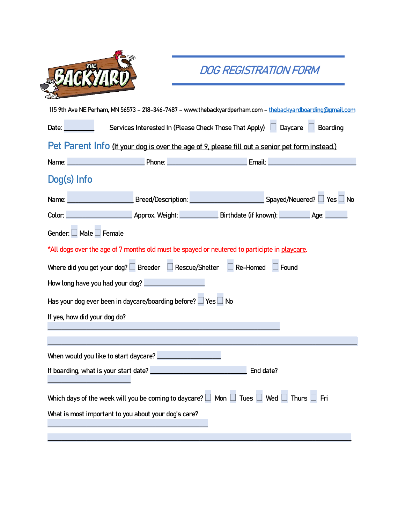|                                                                                                                 | DOG REGISTRATION FORM                                                                                                                                                                                                                |           |
|-----------------------------------------------------------------------------------------------------------------|--------------------------------------------------------------------------------------------------------------------------------------------------------------------------------------------------------------------------------------|-----------|
|                                                                                                                 |                                                                                                                                                                                                                                      |           |
| 115 9th Ave NE Perham, MN 56573 - 218-346-7487 - www.thebackyardperham.com - thebackyardboarding@gmail.com      |                                                                                                                                                                                                                                      |           |
| Date:                                                                                                           | Services Interested In (Please Check Those That Apply) Daycare Boarding                                                                                                                                                              |           |
| Pet Parent Info (If your dog is over the age of 9, please fill out a senior pet form instead.)                  |                                                                                                                                                                                                                                      |           |
| <b>Example 20</b> Phone:<br>Name:                                                                               | <u> Email: Email: Email: Email: Email: Email: Email: Email: Email: Email: Email: Email: Email: Email: Email: Email: Email: Email: Email: Email: Email: Email: Email: Email: Email: Email: Email: Email: Email: Email: Email: Ema</u> |           |
| Dog(s) Info                                                                                                     |                                                                                                                                                                                                                                      |           |
| Name:                                                                                                           | <u>Note of the Spayed</u> (Neuered? □ Yes □ Note of the Spayed Spayed (Neuered? □ Yes □ Note of the Spayed All The Spayed All The Spayed All The Spayed All The Spayed All The Spayed All The Spayed All The Spayed All The Spayed   |           |
|                                                                                                                 |                                                                                                                                                                                                                                      |           |
| Gender: Male Female                                                                                             |                                                                                                                                                                                                                                      |           |
| *All dogs over the age of 7 months old must be spayed or neutered to participte in playcare.                    |                                                                                                                                                                                                                                      |           |
| Where did you get your dog? $\Box$ Breeder $\Box$ Rescue/Shelter $\Box$ Re-Homed                                |                                                                                                                                                                                                                                      | Found     |
| How long have you had your dog?                                                                                 |                                                                                                                                                                                                                                      |           |
| Has your dog ever been in daycare/boarding before? $\Box$ Yes $\Box$ No                                         |                                                                                                                                                                                                                                      |           |
| If yes, how did your dog do?                                                                                    |                                                                                                                                                                                                                                      |           |
|                                                                                                                 |                                                                                                                                                                                                                                      |           |
| When would you like to start daycare? ______                                                                    |                                                                                                                                                                                                                                      |           |
| If boarding, what is your start date?                                                                           |                                                                                                                                                                                                                                      | End date? |
| Which days of the week will you be coming to daycare? $\Box$ Mon $\Box$ Tues $\Box$ Wed $\Box$ Thurs $\Box$ Fri |                                                                                                                                                                                                                                      |           |
| What is most important to you about your dog's care?                                                            |                                                                                                                                                                                                                                      |           |
|                                                                                                                 |                                                                                                                                                                                                                                      |           |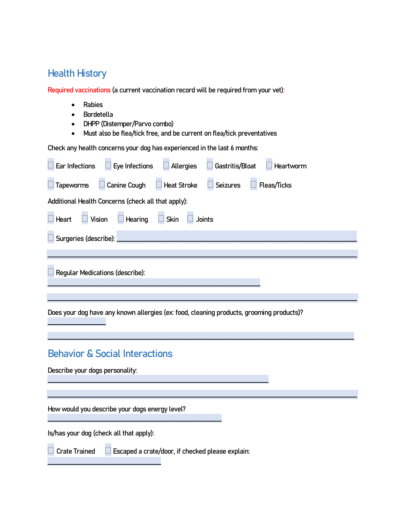## **Health History**

**Required vaccinations (a current vaccination record will be required from your vet):**

- **Rabies**
- **Bordetella**
- **DHPP (Distemper/Parvo combo)**
- **Must also be flea/tick free, and be current on flea/tick preventatives**

**Check any health concerns your dog has experienced in the last 6 months:**

| Eye Infections<br>Allergies<br>Gastritis/Bloat<br>Ear Infections<br>Heartworm            |
|------------------------------------------------------------------------------------------|
| Canine Cough<br>$\Box$ Heat Stroke<br>$\Box$ Seizures<br>Fleas/Ticks<br><b>Tapeworms</b> |
| Additional Health Concerns (check all that apply):                                       |
| Vision<br>Hearing<br>Skin<br>Heart<br><b>Joints</b>                                      |
| Surgeries (describe):                                                                    |
|                                                                                          |
|                                                                                          |
| Regular Medications (describe):                                                          |
|                                                                                          |

**\_\_\_\_\_\_\_\_\_\_\_\_\_\_\_\_\_\_\_\_\_\_\_\_\_\_\_\_\_\_\_\_\_\_\_\_\_\_\_\_\_\_\_\_\_\_\_\_\_\_\_\_\_\_\_\_\_\_\_\_\_\_\_\_\_\_\_\_\_\_\_\_\_\_\_\_\_\_\_\_\_\_\_\_\_\_\_\_\_\_\_\_\_\_\_\_\_\_\_\_\_\_\_\_\_\_\_\_\_\_\_**

**\_\_\_\_\_\_\_\_\_\_\_\_\_\_\_\_\_\_\_\_\_\_\_\_\_\_\_\_\_\_\_\_\_\_\_\_\_\_\_\_\_\_\_\_\_\_\_\_\_\_\_\_\_\_\_\_\_\_\_\_\_\_\_\_\_\_\_\_\_\_\_\_\_\_\_\_\_\_\_\_\_\_\_\_\_\_\_\_\_\_\_\_\_\_\_\_\_\_\_\_\_\_\_\_\_\_\_\_\_\_\_\_**

## **Behavior & Social Interactions**

**Describe your dogs personality:** 

**How would you describe your dogs energy level?**

**\_\_\_\_\_\_\_\_\_\_\_\_\_\_\_\_\_\_\_\_\_\_\_\_\_\_\_\_\_\_\_\_\_\_\_\_\_\_\_\_\_\_\_\_\_\_\_\_\_\_\_\_\_\_\_\_\_\_\_\_\_\_\_**

**Is/has your dog (check all that apply):**

**\_\_\_\_\_\_\_\_\_\_\_\_\_\_\_\_\_\_\_\_\_\_\_\_\_\_\_\_\_\_\_\_\_\_\_\_\_\_\_\_\_**

**Crate Trained Escaped a crate/door, if checked please explain:** 

**\_\_\_\_\_\_\_\_\_\_\_\_\_\_\_\_\_\_\_\_\_\_\_\_\_\_\_\_\_\_\_\_\_\_\_\_\_\_\_\_\_\_\_\_\_\_\_\_\_\_\_\_\_\_\_\_\_\_\_\_\_\_\_\_\_\_\_\_\_\_\_\_\_\_\_\_\_\_\_\_**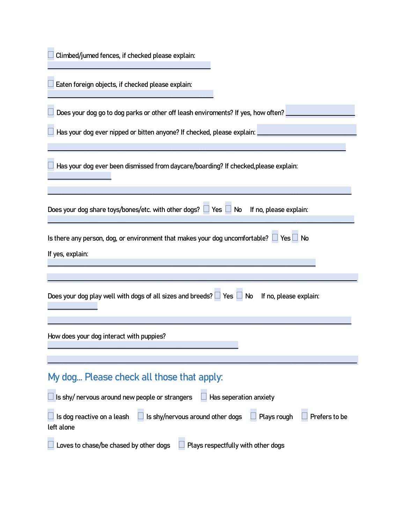**\_\_\_\_\_\_\_\_\_\_\_\_\_\_\_\_\_\_\_\_\_\_\_\_\_\_\_\_\_\_\_\_\_\_\_\_\_\_\_\_\_\_\_\_\_\_\_\_\_\_\_\_\_\_\_\_\_\_\_\_**

**Does your dog go to dog parks or other off leash enviroments? If yes, how often? \_\_\_\_\_\_\_\_\_\_\_\_\_\_\_\_\_\_\_\_\_\_\_\_\_**

**Has your dog ever nipped or bitten anyone? If checked, please explain:** 

**Has your dog ever been dismissed from daycare/boarding? If checked,please explain:** 

**\_\_\_\_\_\_\_\_\_\_\_\_\_\_\_\_\_\_\_\_\_\_\_\_\_\_\_\_\_\_\_\_\_\_\_\_\_\_\_\_\_\_\_\_\_\_\_\_\_\_\_\_\_\_\_\_\_\_\_\_\_\_\_\_\_\_\_\_\_\_\_\_\_\_\_\_\_\_\_\_\_\_\_\_\_\_\_\_\_\_\_\_\_\_\_\_\_\_\_\_\_\_\_\_\_\_\_\_**

**\_\_\_\_\_\_\_\_\_\_\_\_\_\_\_\_\_\_\_\_\_\_\_\_\_\_\_\_\_\_\_\_\_\_\_\_\_\_\_\_\_\_\_\_\_\_\_\_\_\_\_\_\_\_\_\_\_\_\_\_\_\_\_\_\_\_\_\_\_\_\_\_\_\_\_\_\_\_\_\_\_\_\_\_\_\_\_\_\_\_\_\_\_\_\_\_\_\_\_\_\_\_\_\_\_\_\_\_\_\_**

| Does your dog share toys/bones/etc. with other dogs? $\Box$ Yes $\Box$ No If no, please explain:       |
|--------------------------------------------------------------------------------------------------------|
| Is there any person, dog, or environment that makes your dog uncomfortable? $\Box$ Yes $\Box$ No       |
| If yes, explain:                                                                                       |
|                                                                                                        |
| Does your dog play well with dogs of all sizes and breeds? $\Box$ Yes $\Box$ No If no, please explain: |

**\_\_\_\_\_\_\_\_\_\_\_\_\_\_\_\_\_\_\_\_\_\_\_\_\_\_\_\_\_\_\_\_\_\_\_\_\_\_\_\_\_\_\_\_\_\_\_\_\_\_\_\_\_\_\_\_\_\_\_\_\_\_\_\_\_\_\_\_\_\_\_\_\_\_\_\_\_\_\_\_\_\_\_\_\_\_\_\_\_\_\_\_\_\_\_\_\_\_\_\_\_\_\_\_\_\_\_\_\_\_**

**\_\_\_\_\_\_\_\_\_\_\_\_\_\_\_\_\_\_\_\_\_\_\_\_\_\_\_\_\_\_\_\_\_\_\_\_\_\_\_\_\_\_\_\_\_\_\_\_\_\_\_\_\_\_\_\_\_\_\_\_\_\_\_\_\_\_\_\_\_\_\_\_\_\_\_\_\_\_\_\_\_\_\_\_\_\_\_\_\_\_\_\_\_\_\_\_\_\_\_\_\_\_\_\_\_\_\_\_\_\_\_\_**

**How does your dog interact with puppies?** 

**\_\_\_\_\_\_\_\_\_\_\_\_\_\_\_\_\_\_\_\_\_\_\_**

**\_\_\_\_\_\_\_\_\_\_\_\_\_\_\_\_\_\_**

## **My dog… Please check all those that apply:**

**\_\_\_\_\_\_\_\_\_\_\_\_\_\_\_\_\_\_\_\_\_\_\_\_\_\_\_\_\_\_\_\_\_\_\_\_\_\_\_\_\_\_\_\_\_\_\_\_\_\_\_\_\_\_\_\_\_\_\_\_\_\_\_\_\_\_\_\_\_**

| $\Box$ is shy/ nervous around new people or strangers<br>Has seperation anxiety                                                 |  |
|---------------------------------------------------------------------------------------------------------------------------------|--|
| $\Box$ Is dog reactive on a leash $\Box$ Is shy/nervous around other dogs $\Box$ Plays rough $\Box$ Prefers to be<br>left alone |  |
| $\mathbf{A}$ and $\mathbf{A}$ and $\mathbf{A}$ and $\mathbf{A}$ and $\mathbf{A}$<br>$\sim$ $\sim$ $\sim$ $\sim$                 |  |

**Loves to chase/be chased by other dogs Plays respectfully with other dogs**